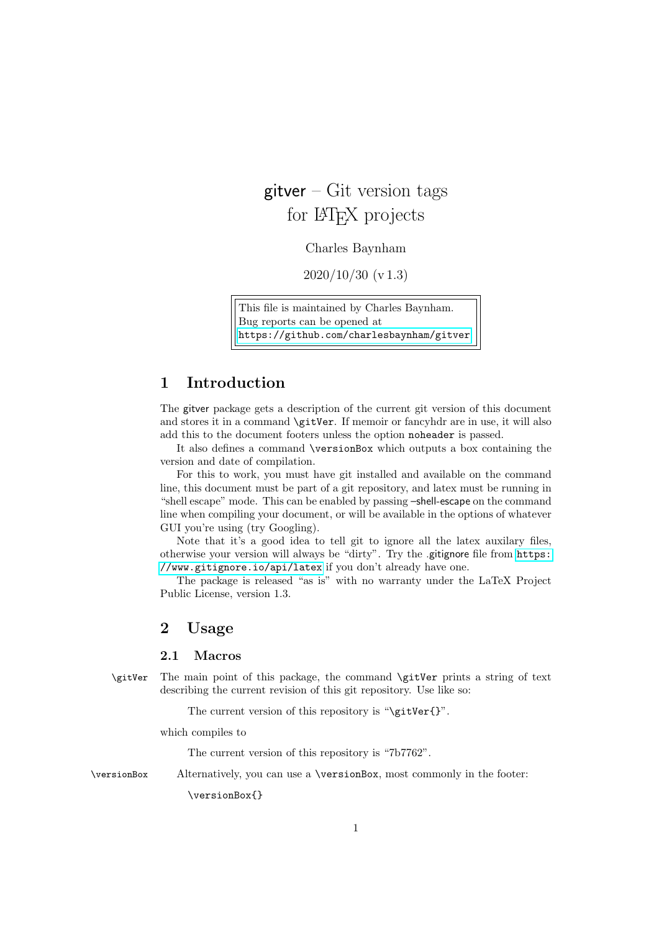# $g$ itver – Git version tags for LAT<sub>EX</sub> projects

Charles Baynham

2020/10/30 (v 1.3)

This file is maintained by Charles Baynham. Bug reports can be opened at <https://github.com/charlesbaynham/gitver>.

## 1 Introduction

The gitver package gets a description of the current git version of this document and stores it in a command **\gitVer**. If memoir or fancyhdr are in use, it will also add this to the document footers unless the option noheader is passed.

It also defines a command \versionBox which outputs a box containing the version and date of compilation.

For this to work, you must have git installed and available on the command line, this document must be part of a git repository, and latex must be running in "shell escape" mode. This can be enabled by passing –shell-escape on the command line when compiling your document, or will be available in the options of whatever GUI you're using (try Googling).

Note that it's a good idea to tell git to ignore all the latex auxilary files, otherwise your version will always be "dirty". Try the .gitignore file from [https:](https://www.gitignore.io/api/latex) [//www.gitignore.io/api/latex](https://www.gitignore.io/api/latex) if you don't already have one.

The package is released "as is" with no warranty under the LaTeX Project Public License, version 1.3.

## 2 Usage

#### 2.1 Macros

\gitVer The main point of this package, the command \gitVer prints a string of text describing the current revision of this git repository. Use like so:

The current version of this repository is "\gitVer{}".

which compiles to

The current version of this repository is "7b7762".

\versionBox Alternatively, you can use a \versionBox, most commonly in the footer:

\versionBox{}